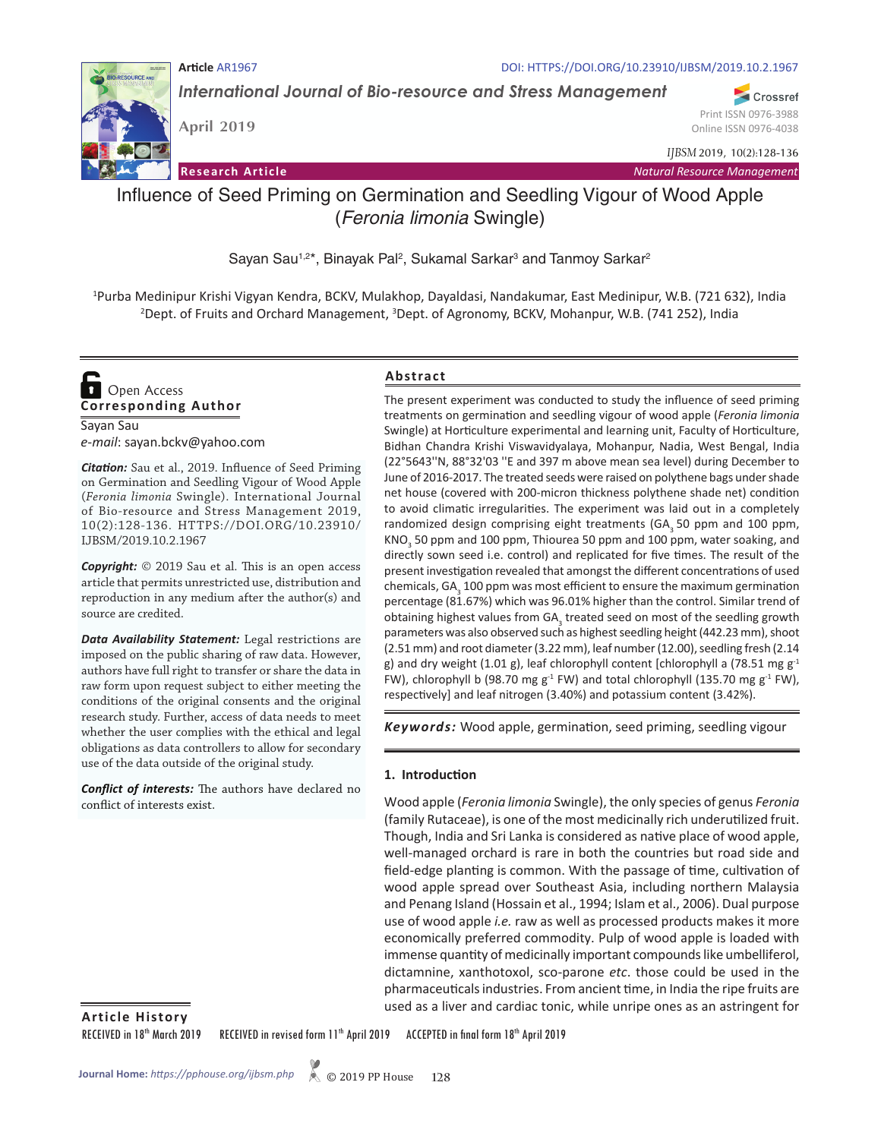

*International Journal of Bio-resource and Stress Management*

**RESOURCE AND** 

**April 2019**

Online ISSN 0976-4038 *IJBSM* 2019, 10(2):128-136

Print ISSN 0976-3988

Crossref

**Research Article** *Natural Resource Management*

# Influence of Seed Priming on Germination and Seedling Vigour of Wood Apple (*Feronia limonia* Swingle)

Sayan Sau<sup>1,2\*</sup>, Binayak Pal<sup>2</sup>, Sukamal Sarkar<sup>3</sup> and Tanmoy Sarkar<sup>2</sup>

1 Purba Medinipur Krishi Vigyan Kendra, BCKV, Mulakhop, Dayaldasi, Nandakumar, East Medinipur, W.B. (721 632), India <sup>2</sup>Dept. of Fruits and Orchard Management, <sup>3</sup>Dept. of Agronomy, BCKV, Mohanpur, W.B. (741 252), India

## **Corresponding Author**  Open Access

Sayan Sau *e-mail*: sayan.bckv@yahoo.com

*Citation:* Sau et al., 2019. Influence of Seed Priming on Germination and Seedling Vigour of Wood Apple (*Feronia limonia* Swingle). International Journal of Bio-resource and Stress Management 2019, 10(2):128-136. HTTPS://DOI.ORG/10.23910/ IJBSM/2019.10.2.1967

*Copyright:* © 2019 Sau et al. This is an open access article that permits unrestricted use, distribution and reproduction in any medium after the author(s) and source are credited.

*Data Availability Statement:* Legal restrictions are imposed on the public sharing of raw data. However, authors have full right to transfer or share the data in raw form upon request subject to either meeting the conditions of the original consents and the original research study. Further, access of data needs to meet whether the user complies with the ethical and legal obligations as data controllers to allow for secondary use of the data outside of the original study.

*Conflict of interests:* The authors have declared no conflict of interests exist.

## **Abstract**

The present experiment was conducted to study the influence of seed priming treatments on germination and seedling vigour of wood apple (*Feronia limonia*  Swingle) at Horticulture experimental and learning unit, Faculty of Horticulture, Bidhan Chandra Krishi Viswavidyalaya, Mohanpur, Nadia, West Bengal, India (22°5643''N, 88°32'03 ''E and 397 m above mean sea level) during December to June of 2016-2017. The treated seeds were raised on polythene bags under shade net house (covered with 200-micron thickness polythene shade net) condition to avoid climatic irregularities. The experiment was laid out in a completely randomized design comprising eight treatments (GA<sub>3</sub> 50 ppm and 100 ppm, KNO<sub>3</sub> 50 ppm and 100 ppm, Thiourea 50 ppm and 100 ppm, water soaking, and directly sown seed i.e. control) and replicated for five times. The result of the present investigation revealed that amongst the different concentrations of used chemicals, GA $_3$  100 ppm was most efficient to ensure the maximum germination percentage (81.67%) which was 96.01% higher than the control. Similar trend of obtaining highest values from GA<sub>3</sub> treated seed on most of the seedling growth parameters was also observed such as highest seedling height (442.23 mm), shoot (2.51 mm) and root diameter (3.22 mm), leaf number (12.00), seedling fresh (2.14 g) and dry weight (1.01 g), leaf chlorophyll content [chlorophyll a (78.51 mg  $g<sup>-1</sup>$ FW), chlorophyll b (98.70 mg g<sup>-1</sup> FW) and total chlorophyll (135.70 mg g<sup>-1</sup> FW), respectively] and leaf nitrogen (3.40%) and potassium content (3.42%).

*Keywords:* Wood apple, germination, seed priming, seedling vigour

#### **1. Introduction**

Wood apple (*Feronia limonia* Swingle), the only species of genus *Feronia*  (family Rutaceae), is one of the most medicinally rich underutilized fruit. Though, India and Sri Lanka is considered as native place of wood apple, well-managed orchard is rare in both the countries but road side and field-edge planting is common. With the passage of time, cultivation of wood apple spread over Southeast Asia, including northern Malaysia and Penang Island (Hossain et al., 1994; Islam et al., 2006). Dual purpose use of wood apple *i.e.* raw as well as processed products makes it more economically preferred commodity. Pulp of wood apple is loaded with immense quantity of medicinally important compounds like umbelliferol, dictamnine, xanthotoxol, sco-parone *etc*. those could be used in the pharmaceuticals industries. From ancient time, in India the ripe fruits are used as a liver and cardiac tonic, while unripe ones as an astringent for

**Article History**

RECEIVED in 18<sup>th</sup> March 2019 RECEIVED in revised form 11<sup>th</sup> April 2019 ACCEPTED in final form 18<sup>th</sup> April 2019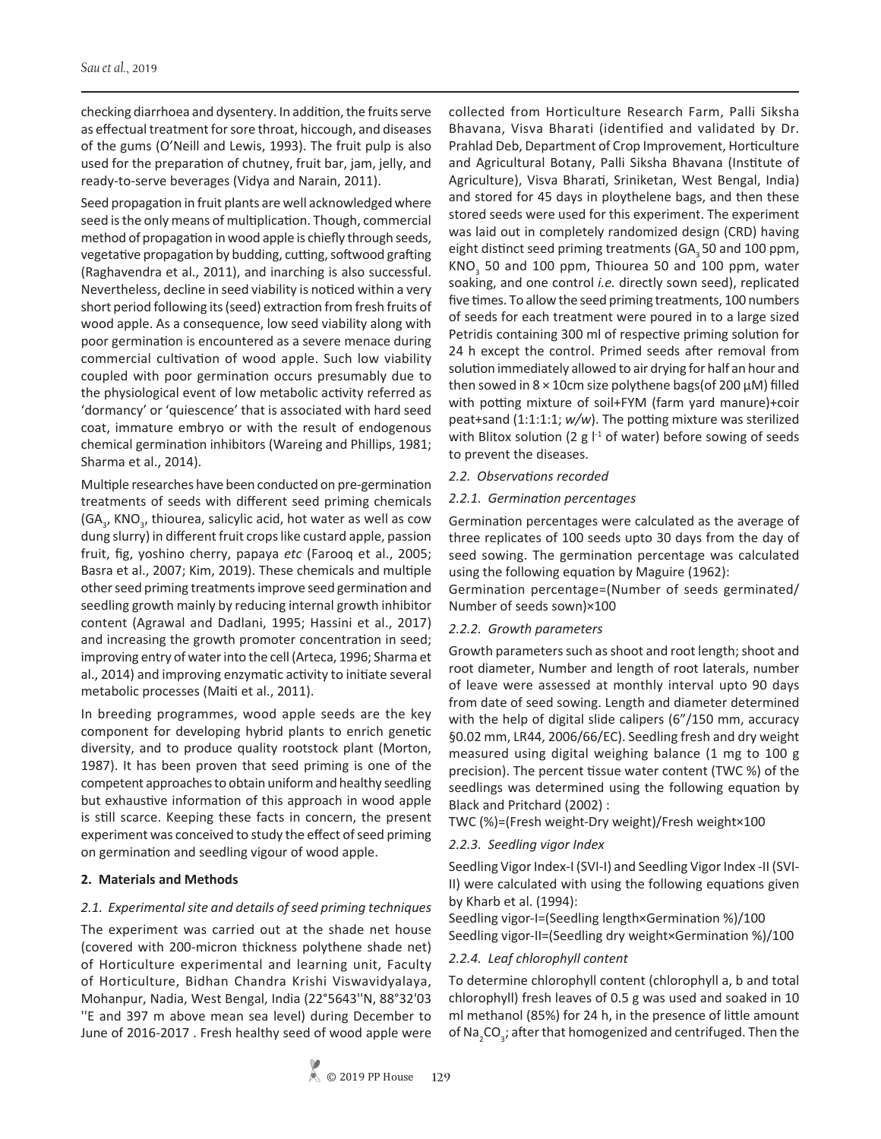checking diarrhoea and dysentery. In addition, the fruits serve as effectual treatment for sore throat, hiccough, and diseases of the gums (O'Neill and Lewis, 1993). The fruit pulp is also used for the preparation of chutney, fruit bar, jam, jelly, and ready-to-serve beverages (Vidya and Narain, 2011).

Seed propagation in fruit plants are well acknowledged where seed is the only means of multiplication. Though, commercial method of propagation in wood apple is chiefly through seeds, vegetative propagation by budding, cutting, softwood grafting (Raghavendra et al., 2011), and inarching is also successful. Nevertheless, decline in seed viability is noticed within a very short period following its (seed) extraction from fresh fruits of wood apple. As a consequence, low seed viability along with poor germination is encountered as a severe menace during commercial cultivation of wood apple. Such low viability coupled with poor germination occurs presumably due to the physiological event of low metabolic activity referred as 'dormancy' or 'quiescence' that is associated with hard seed coat, immature embryo or with the result of endogenous chemical germination inhibitors (Wareing and Phillips, 1981; Sharma et al., 2014).

Multiple researches have been conducted on pre-germination treatments of seeds with different seed priming chemicals (GA<sub>3</sub>, KNO<sub>3</sub>, thiourea, salicylic acid, hot water as well as cow dung slurry) in different fruit crops like custard apple, passion fruit, fig, yoshino cherry, papaya *etc* (Farooq et al., 2005; Basra et al., 2007; Kim, 2019). These chemicals and multiple other seed priming treatments improve seed germination and seedling growth mainly by reducing internal growth inhibitor content (Agrawal and Dadlani, 1995; Hassini et al., 2017) and increasing the growth promoter concentration in seed; improving entry of water into the cell (Arteca, 1996; Sharma et al., 2014) and improving enzymatic activity to initiate several metabolic processes (Maiti et al., 2011).

In breeding programmes, wood apple seeds are the key component for developing hybrid plants to enrich genetic diversity, and to produce quality rootstock plant (Morton, 1987). It has been proven that seed priming is one of the competent approaches to obtain uniform and healthy seedling but exhaustive information of this approach in wood apple is still scarce. Keeping these facts in concern, the present experiment was conceived to study the effect of seed priming on germination and seedling vigour of wood apple.

## **2. Materials and Methods**

## *2.1. Experimental site and details of seed priming techniques*

The experiment was carried out at the shade net house (covered with 200-micron thickness polythene shade net) of Horticulture experimental and learning unit, Faculty of Horticulture, Bidhan Chandra Krishi Viswavidyalaya, Mohanpur, Nadia, West Bengal, India (22°5643''N, 88°32'03 ''E and 397 m above mean sea level) during December to June of 2016-2017 . Fresh healthy seed of wood apple were collected from Horticulture Research Farm, Palli Siksha Bhavana, Visva Bharati (identified and validated by Dr. Prahlad Deb, Department of Crop Improvement, Horticulture and Agricultural Botany, Palli Siksha Bhavana (Institute of Agriculture), Visva Bharati, Sriniketan, West Bengal, India) and stored for 45 days in ploythelene bags, and then these stored seeds were used for this experiment. The experiment was laid out in completely randomized design (CRD) having eight distinct seed priming treatments (GA<sub>3</sub> 50 and 100 ppm,  $\text{KNO}_3$  50 and 100 ppm, Thiourea 50 and 100 ppm, water soaking, and one control *i.e.* directly sown seed), replicated five times. To allow the seed priming treatments, 100 numbers of seeds for each treatment were poured in to a large sized Petridis containing 300 ml of respective priming solution for 24 h except the control. Primed seeds after removal from solution immediately allowed to air drying for half an hour and then sowed in  $8 \times 10$ cm size polythene bags(of 200  $\mu$ M) filled with potting mixture of soil+FYM (farm yard manure)+coir peat+sand (1:1:1:1; *w/w*). The potting mixture was sterilized with Blitox solution (2  $g$   $l<sup>-1</sup>$  of water) before sowing of seeds to prevent the diseases.

#### *2.2. Observations recorded*

#### *2.2.1. Germination percentages*

Germination percentages were calculated as the average of three replicates of 100 seeds upto 30 days from the day of seed sowing. The germination percentage was calculated using the following equation by Maguire (1962):

Germination percentage=(Number of seeds germinated/ Number of seeds sown)×100

#### *2.2.2. Growth parameters*

Growth parameters such as shoot and root length; shoot and root diameter, Number and length of root laterals, number of leave were assessed at monthly interval upto 90 days from date of seed sowing. Length and diameter determined with the help of digital slide calipers (6"/150 mm, accuracy §0.02 mm, LR44, 2006/66/EC). Seedling fresh and dry weight measured using digital weighing balance (1 mg to 100 g precision). The percent tissue water content (TWC %) of the seedlings was determined using the following equation by Black and Pritchard (2002) :

TWC (%)=(Fresh weight-Dry weight)/Fresh weight×100

## *2.2.3. Seedling vigor Index*

Seedling Vigor Index-I (SVI-I) and Seedling Vigor Index -II (SVI-II) were calculated with using the following equations given by Kharb et al. (1994):

Seedling vigor-I=(Seedling length×Germination %)/100 Seedling vigor-II=(Seedling dry weight×Germination %)/100

## *2.2.4. Leaf chlorophyll content*

To determine chlorophyll content (chlorophyll a, b and total chlorophyll) fresh leaves of 0.5 g was used and soaked in 10 ml methanol (85%) for 24 h, in the presence of little amount of Na<sub>2</sub>CO<sub>3</sub>; after that homogenized and centrifuged. Then the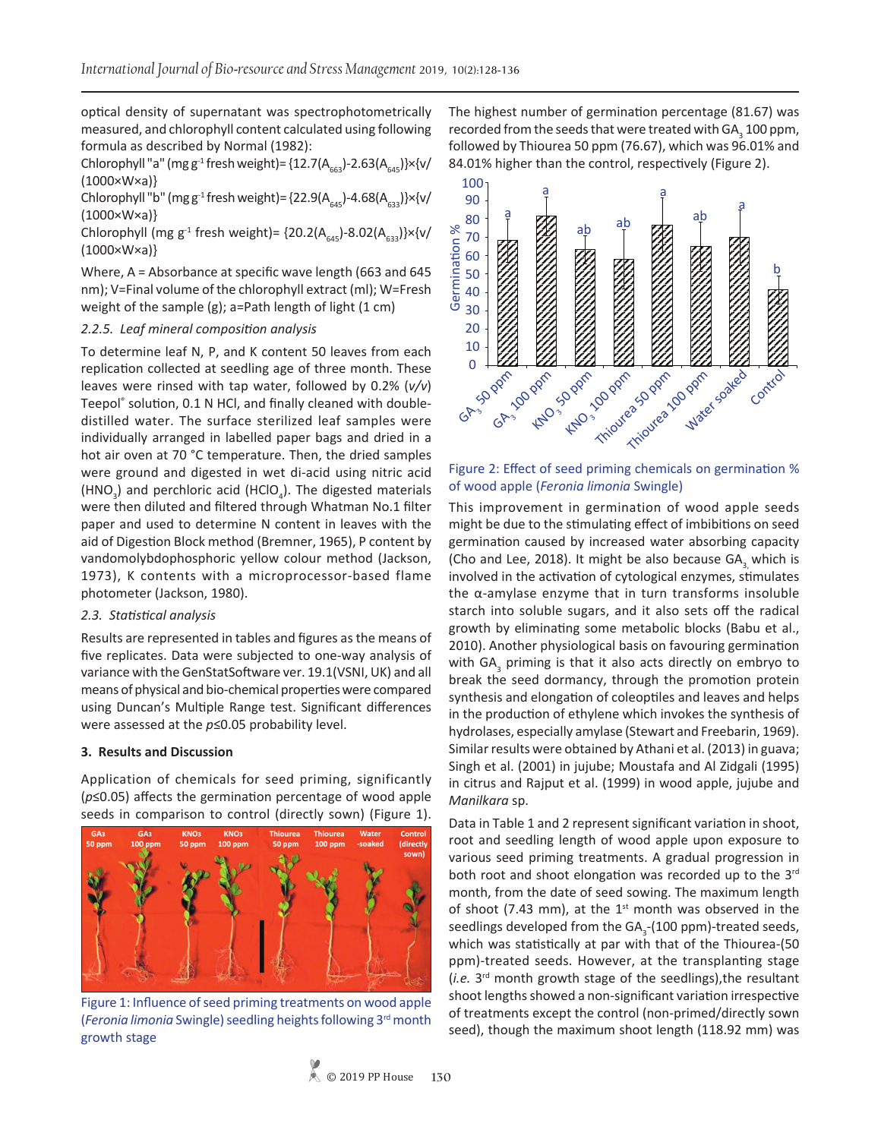optical density of supernatant was spectrophotometrically measured, and chlorophyll content calculated using following formula as described by Normal (1982):

Chlorophyll "a" (mg g<sup>-1</sup> fresh weight)= {12.7( $A_{663}$ )-2.63( $A_{645}$ }}×{v/ (1000×W×a)}

Chlorophyll "b" (mg g<sup>-1</sup> fresh weight)= {22.9( $A<sub>645</sub>$ )-4.68( $A<sub>633</sub>$ )}×{v/  $(1000 \times W \times a)$ 

Chlorophyll (mg g<sup>-1</sup> fresh weight)=  $\{20.2(A<sub>645</sub>)-8.02(A<sub>633</sub>)\}\times\{v/$ (1000×W×a)}

Where, A = Absorbance at specific wave length (663 and 645 nm); V=Final volume of the chlorophyll extract (ml); W=Fresh weight of the sample (g); a=Path length of light (1 cm)

#### *2.2.5. Leaf mineral composition analysis*

To determine leaf N, P, and K content 50 leaves from each replication collected at seedling age of three month. These leaves were rinsed with tap water, followed by 0.2% (*v/v*) Teepol® solution, 0.1 N HCl, and finally cleaned with doubledistilled water. The surface sterilized leaf samples were individually arranged in labelled paper bags and dried in a hot air oven at 70 °C temperature. Then, the dried samples were ground and digested in wet di-acid using nitric acid (HNO<sub>3</sub>) and perchloric acid (HClO<sub>4</sub>). The digested materials were then diluted and filtered through Whatman No.1 filter paper and used to determine N content in leaves with the aid of Digestion Block method (Bremner, 1965), P content by vandomolybdophosphoric yellow colour method (Jackson, 1973), K contents with a microprocessor-based flame photometer (Jackson, 1980).

#### *2.3. Statistical analysis*

Results are represented in tables and figures as the means of five replicates. Data were subjected to one-way analysis of variance with the GenStatSoftware ver. 19.1(VSNI, UK) and all means of physical and bio-chemical properties were compared using Duncan's Multiple Range test. Significant differences were assessed at the *p*≤0.05 probability level.

#### **3. Results and Discussion**

Application of chemicals for seed priming, significantly (*p*≤0.05) affects the germination percentage of wood apple seeds in comparison to control (directly sown) (Figure 1).



Figure 1: Influence of seed priming treatments on wood apple (*Feronia limonia* Swingle) seedling heights following 3rd month growth stage

The highest number of germination percentage (81.67) was recorded from the seeds that were treated with GA $_3$  100 ppm, followed by Thiourea 50 ppm (76.67), which was 96.01% and 84.01% higher than the control, respectively (Figure 2).



#### Figure 2: Effect of seed priming chemicals on germination % of wood apple (*Feronia limonia* Swingle)

This improvement in germination of wood apple seeds might be due to the stimulating effect of imbibitions on seed germination caused by increased water absorbing capacity (Cho and Lee, 2018). It might be also because  $GA_3$  which is involved in the activation of cytological enzymes, stimulates the α-amylase enzyme that in turn transforms insoluble starch into soluble sugars, and it also sets off the radical growth by eliminating some metabolic blocks (Babu et al., 2010). Another physiological basis on favouring germination with GA<sub>3</sub> priming is that it also acts directly on embryo to break the seed dormancy, through the promotion protein synthesis and elongation of coleoptiles and leaves and helps in the production of ethylene which invokes the synthesis of hydrolases, especially amylase (Stewart and Freebarin, 1969). Similar results were obtained by Athani et al. (2013) in guava; Singh et al. (2001) in jujube; Moustafa and Al Zidgali (1995) in citrus and Rajput et al. (1999) in wood apple, jujube and *Manilkara* sp.

Data in Table 1 and 2 represent significant variation in shoot, root and seedling length of wood apple upon exposure to various seed priming treatments. A gradual progression in both root and shoot elongation was recorded up to the 3rd month, from the date of seed sowing. The maximum length of shoot (7.43 mm), at the  $1<sup>st</sup>$  month was observed in the seedlings developed from the GA<sub>3</sub>-(100 ppm)-treated seeds, which was statistically at par with that of the Thiourea-(50 ppm)-treated seeds. However, at the transplanting stage (*i.e.* 3rd month growth stage of the seedlings),the resultant shoot lengths showed a non-significant variation irrespective of treatments except the control (non-primed/directly sown seed), though the maximum shoot length (118.92 mm) was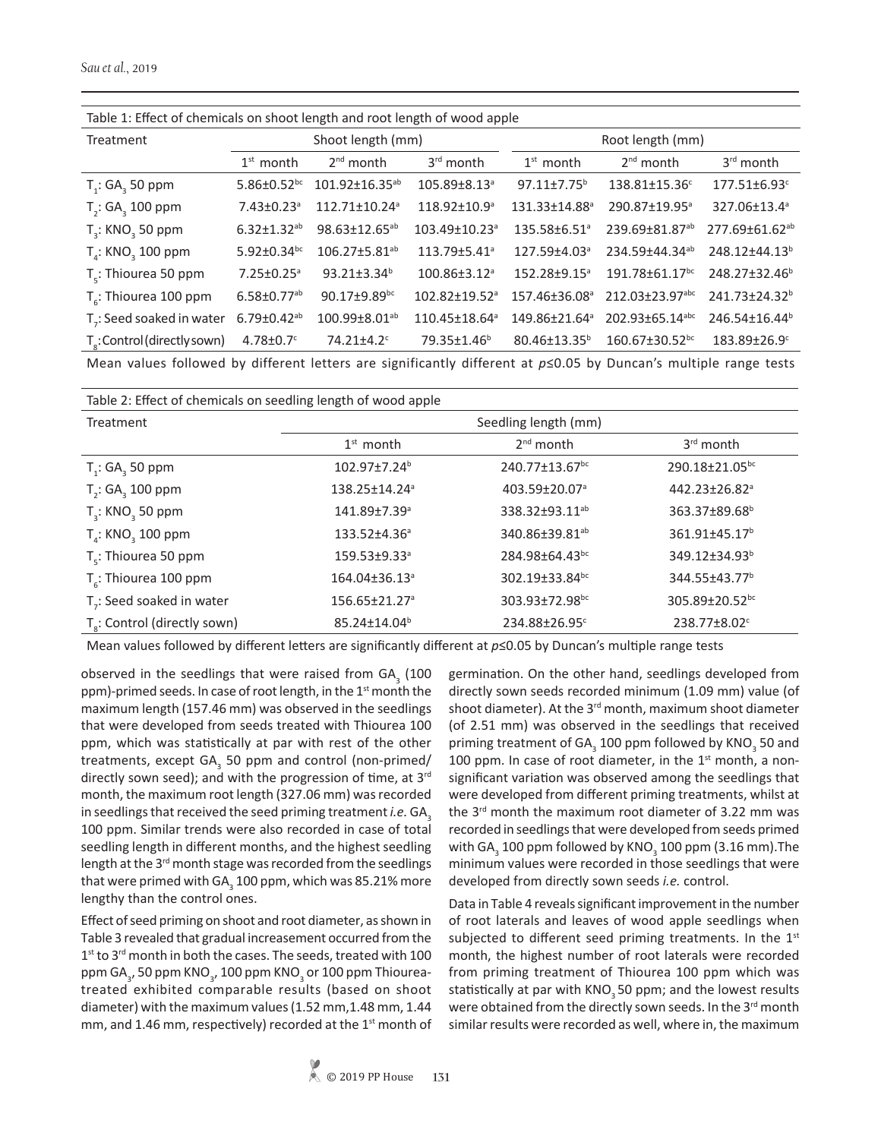| Table 1: Effect of chemicals on shoot length and root length of wood apple |                               |                                 |                           |                           |                                  |                            |  |
|----------------------------------------------------------------------------|-------------------------------|---------------------------------|---------------------------|---------------------------|----------------------------------|----------------------------|--|
| Treatment                                                                  | Shoot length (mm)             |                                 |                           | Root length (mm)          |                                  |                            |  |
|                                                                            | $1st$ month                   | $2nd$ month                     | 3rd month                 | $1st$ month               | $2nd$ month                      | 3rd month                  |  |
| $T_i$ : GA, 50 ppm                                                         | 5.86 $\pm$ 0.52 <sup>bc</sup> | $101.92 \pm 16.35^{ab}$         | 105.89±8.13 <sup>a</sup>  | $97.11 \pm 7.75^b$        | 138.81±15.36 <sup>c</sup>        | 177.51±6.93c               |  |
| $T_2$ : GA <sub>3</sub> 100 ppm                                            | $7.43 \pm 0.23$ <sup>a</sup>  | $112.71 \pm 10.24$ <sup>a</sup> | 118.92±10.9 <sup>a</sup>  | 131.33±14.88 <sup>a</sup> | 290.87±19.95 <sup>a</sup>        | 327.06±13.4ª               |  |
| $T3$ : KNO <sub>3</sub> 50 ppm                                             | $6.32 \pm 1.32$ <sup>ab</sup> | 98.63±12.65 <sup>ab</sup>       | 103.49±10.23 <sup>a</sup> | 135.58±6.51 <sup>a</sup>  | 239.69±81.87 <sup>ab</sup>       | 277.69±61.62 <sup>ab</sup> |  |
| $T_a$ : KNO <sub>2</sub> 100 ppm                                           | $5.92 \pm 0.34$ bc            | 106.27±5.81 <sup>ab</sup>       | 113.79±5.41 <sup>a</sup>  | 127.59±4.03 <sup>ª</sup>  | 234.59±44.34 <sup>ab</sup>       | 248.12±44.13 <sup>b</sup>  |  |
| T <sub>c</sub> : Thiourea 50 ppm                                           | $7.25 \pm 0.25$ <sup>a</sup>  | $93.21 \pm 3.34$ <sup>b</sup>   | 100.86±3.12 <sup>a</sup>  | 152.28±9.15 <sup>a</sup>  | 191.78±61.17 <sup>bc</sup>       | 248.27±32.46 <sup>b</sup>  |  |
| $T_c$ : Thiourea 100 ppm                                                   | $6.58 \pm 0.77$ <sup>ab</sup> | 90.17±9.89bc                    | 102.82±19.52 <sup>a</sup> | 157.46±36.08 <sup>a</sup> | 212.03±23.97abc                  | 241.73±24.32 <sup>b</sup>  |  |
| T <sub>-</sub> : Seed soaked in water                                      | $6.79 \pm 0.42^{ab}$          | 100.99±8.01 <sup>ab</sup>       | 110.45±18.64ª             | 149.86±21.64 <sup>a</sup> | 202.93±65.14 <sup>abc</sup>      | 246.54±16.44 <sup>b</sup>  |  |
| $T_s$ : Control (directly sown)                                            | $4.78 \pm 0.7$ °              | 74.21±4.2 <sup>c</sup>          | 79.35±1.46 <sup>b</sup>   | 80.46±13.35 <sup>b</sup>  | $160.67 \pm 30.52$ <sup>bc</sup> | 183.89±26.9°               |  |

Table 1: Effect of chemicals on shoot length and root length of wood apple

Mean values followed by different letters are significantly different at *p*≤0.05 by Duncan's multiple range tests

Table 2: Effect of chemicals on seedling length of wood apple

| Treatment                                | Seedling length (mm)      |                            |                           |  |  |
|------------------------------------------|---------------------------|----------------------------|---------------------------|--|--|
|                                          | $1st$ month               | $2nd$ month                | 3 <sup>rd</sup> month     |  |  |
| $T_1$ : GA <sub>3</sub> 50 ppm           | 102.97±7.24 <sup>b</sup>  | 240.77±13.67 <sup>bc</sup> | 290.18±21.05bc            |  |  |
| $T_{2}$ : GA <sub>3</sub> 100 ppm        | 138.25±14.24 <sup>a</sup> | 403.59±20.07 <sup>a</sup>  | 442.23±26.82 <sup>a</sup> |  |  |
| $T_{3}$ : KNO <sub>3</sub> 50 ppm        | 141.89±7.39 <sup>a</sup>  | 338.32±93.11 <sup>ab</sup> | 363.37±89.68 <sup>b</sup> |  |  |
| $T_a$ : KNO <sub>3</sub> 100 ppm         | 133.52±4.36 <sup>a</sup>  | 340.86±39.81 <sup>ab</sup> | 361.91±45.17 <sup>b</sup> |  |  |
| $T_c$ : Thiourea 50 ppm                  | 159.53±9.33 <sup>a</sup>  | 284.98±64.43bc             | 349.12±34.93 <sup>b</sup> |  |  |
| $T_c$ : Thiourea 100 ppm                 | 164.04±36.13 <sup>a</sup> | 302.19±33.84bc             | 344.55±43.77 <sup>b</sup> |  |  |
| $Tz$ : Seed soaked in water              | 156.65±21.27 <sup>a</sup> | 303.93±72.98bc             | 305.89±20.52bc            |  |  |
| T <sub>2</sub> : Control (directly sown) | 85.24±14.04 <sup>b</sup>  | 234.88±26.95 <sup>c</sup>  | 238.77±8.02c              |  |  |

Mean values followed by different letters are significantly different at *p*≤0.05 by Duncan's multiple range tests

observed in the seedlings that were raised from  $GA_{3}$  (100 ppm)-primed seeds. In case of root length, in the 1<sup>st</sup> month the maximum length (157.46 mm) was observed in the seedlings that were developed from seeds treated with Thiourea 100 ppm, which was statistically at par with rest of the other treatments, except GA<sub>3</sub> 50 ppm and control (non-primed/ directly sown seed); and with the progression of time, at 3<sup>rd</sup> month, the maximum root length (327.06 mm) was recorded in seedlings that received the seed priming treatment *i.e.* GA<sub>3</sub> 100 ppm. Similar trends were also recorded in case of total seedling length in different months, and the highest seedling length at the 3<sup>rd</sup> month stage was recorded from the seedlings that were primed with GA $_3$  100 ppm, which was 85.21% more lengthy than the control ones.

Effect of seed priming on shoot and root diameter, as shown in Table 3 revealed that gradual increasement occurred from the 1<sup>st</sup> to 3<sup>rd</sup> month in both the cases. The seeds, treated with 100 ppm GA $_{_3}$ , 50 ppm KNO $_{_3}$ , 100 ppm KNO $_{_3}$  or 100 ppm Thioureatreated exhibited comparable results (based on shoot diameter) with the maximum values (1.52 mm,1.48 mm, 1.44 mm, and 1.46 mm, respectively) recorded at the  $1<sup>st</sup>$  month of germination. On the other hand, seedlings developed from directly sown seeds recorded minimum (1.09 mm) value (of shoot diameter). At the 3<sup>rd</sup> month, maximum shoot diameter (of 2.51 mm) was observed in the seedlings that received priming treatment of GA<sub>3</sub> 100 ppm followed by KNO<sub>3</sub> 50 and 100 ppm. In case of root diameter, in the  $1<sup>st</sup>$  month, a nonsignificant variation was observed among the seedlings that were developed from different priming treatments, whilst at the 3rd month the maximum root diameter of 3.22 mm was recorded in seedlings that were developed from seeds primed with GA $_3$  100 ppm followed by KNO $_3$  100 ppm (3.16 mm).The minimum values were recorded in those seedlings that were developed from directly sown seeds *i.e.* control.

Data in Table 4 reveals significant improvement in the number of root laterals and leaves of wood apple seedlings when subjected to different seed priming treatments. In the  $1<sup>st</sup>$ month, the highest number of root laterals were recorded from priming treatment of Thiourea 100 ppm which was statistically at par with KNO<sub>3</sub> 50 ppm; and the lowest results were obtained from the directly sown seeds. In the 3<sup>rd</sup> month similar results were recorded as well, where in, the maximum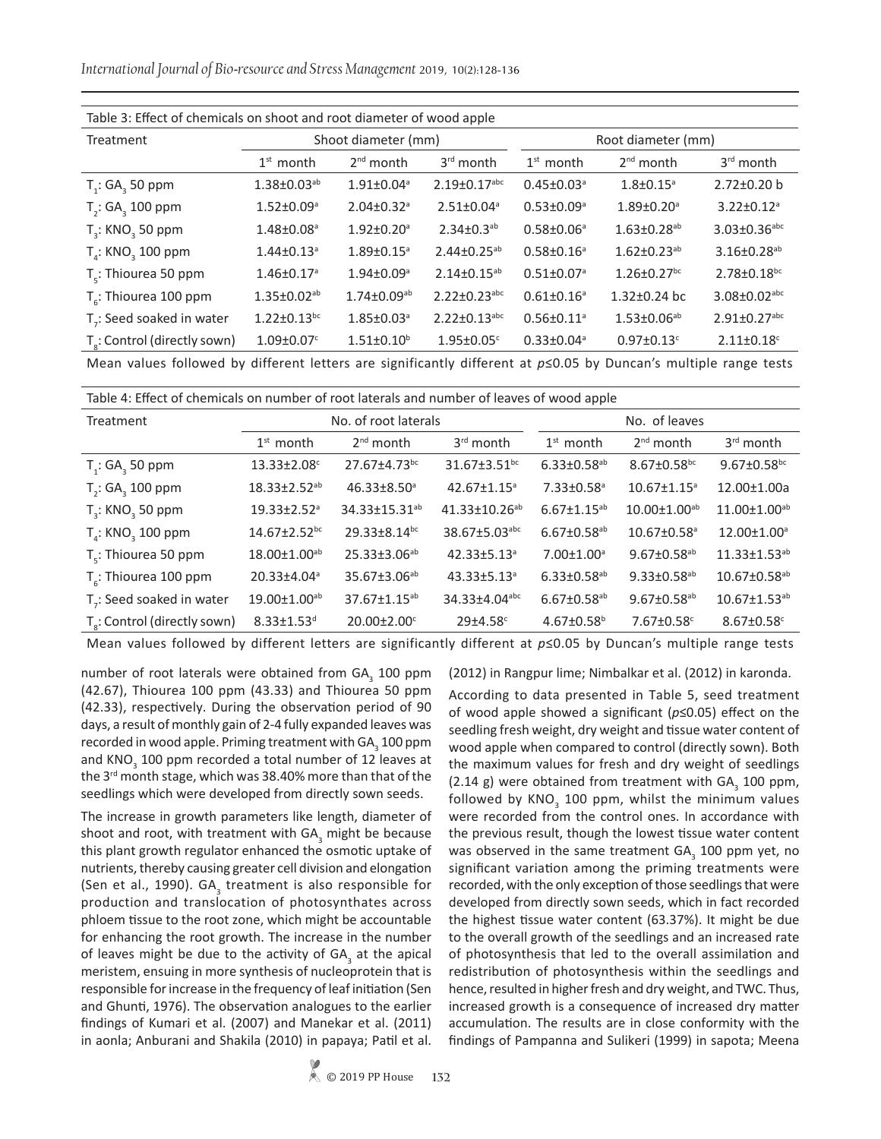*International Journal of Bio-resource and Stress Management* 2019, 10(2):128-136

| Table 3: Effect of chemicals on shoot and root diameter of wood apple |                               |                              |                                |                              |                               |                                |
|-----------------------------------------------------------------------|-------------------------------|------------------------------|--------------------------------|------------------------------|-------------------------------|--------------------------------|
| Treatment                                                             | Shoot diameter (mm)           |                              |                                | Root diameter (mm)           |                               |                                |
|                                                                       | $1st$ month                   | $2nd$ month                  | $3rd$ month                    | $1st$ month                  | $2nd$ month                   | $3rd$ month                    |
| $T_i$ : GA <sub>3</sub> 50 ppm                                        | $1.38 \pm 0.03^{ab}$          | $1.91 \pm 0.04$ <sup>a</sup> | $2.19 \pm 0.17$ <sup>abc</sup> | $0.45 \pm 0.03$ <sup>a</sup> | $1.8 \pm 0.15$ <sup>a</sup>   | $2.72 \pm 0.20$ b              |
| $T_2$ : GA <sub>3</sub> 100 ppm                                       | $1.52 \pm 0.09$ <sup>a</sup>  | $2.04 \pm 0.32$ <sup>a</sup> | $2.51 \pm 0.04$ <sup>a</sup>   | $0.53 \pm 0.09$ <sup>a</sup> | $1.89 \pm 0.20$ <sup>a</sup>  | $3.22 \pm 0.12$ <sup>a</sup>   |
| $T3$ : KNO <sub>3</sub> 50 ppm                                        | $1.48 \pm 0.08$ <sup>a</sup>  | $1.92 \pm 0.20$ <sup>a</sup> | $2.34 \pm 0.3^{ab}$            | $0.58 \pm 0.06^{\circ}$      | $1.63 \pm 0.28$ <sup>ab</sup> | $3.03 \pm 0.36$ abc            |
| $T_a$ : KNO <sub>3</sub> 100 ppm                                      | $1.44 \pm 0.13$ <sup>a</sup>  | $1.89 \pm 0.15$ <sup>a</sup> | $2.44 \pm 0.25^{ab}$           | $0.58 \pm 0.16^a$            | $1.62 \pm 0.23$ <sup>ab</sup> | $3.16 \pm 0.28$ <sup>ab</sup>  |
| $T_c$ : Thiourea 50 ppm                                               | $1.46 \pm 0.17$ <sup>a</sup>  | $1.94 \pm 0.09$ <sup>a</sup> | $2.14 \pm 0.15^{ab}$           | $0.51 \pm 0.07$ <sup>a</sup> | $1.26 \pm 0.27$ <sup>bc</sup> | $2.78 \pm 0.18$ <sub>bc</sub>  |
| $T_c$ : Thiourea 100 ppm                                              | $1.35 \pm 0.02^{ab}$          | $1.74 \pm 0.09^{ab}$         | $2.22 \pm 0.23$ abc            | $0.61 \pm 0.16$ <sup>a</sup> | 1.32±0.24 bc                  | $3.08 \pm 0.02$ <sup>abc</sup> |
| T <sub>-</sub> : Seed soaked in water                                 | $1.22 \pm 0.13$ <sup>bc</sup> | $1.85 \pm 0.03$ <sup>a</sup> | $2.22 \pm 0.13$ <sup>abc</sup> | $0.56 \pm 0.11$ <sup>a</sup> | $1.53 \pm 0.06^{ab}$          | $2.91 \pm 0.27$ <sup>abc</sup> |
| T <sub>2</sub> : Control (directly sown)                              | $1.09 \pm 0.07$ <sup>c</sup>  | $1.51 \pm 0.10^b$            | $1.95 \pm 0.05$ <sup>c</sup>   | $0.33 \pm 0.04$ <sup>a</sup> | $0.97 \pm 0.13$ <sup>c</sup>  | $2.11 \pm 0.18$ <sup>c</sup>   |

Table 3: Effect of chemicals on shoot and root diameter of wood apple

Mean values followed by different letters are significantly different at *p*≤0.05 by Duncan's multiple range tests

| Table 4: Effect of chemicals on number of root laterals and number of leaves of wood apple |                                |                               |                                |                               |                               |                                |
|--------------------------------------------------------------------------------------------|--------------------------------|-------------------------------|--------------------------------|-------------------------------|-------------------------------|--------------------------------|
| Treatment                                                                                  | No. of root laterals           |                               |                                | No. of leaves                 |                               |                                |
|                                                                                            | $1st$ month                    | $2nd$ month                   | $3rd$ month                    | $1st$ month                   | $2nd$ month                   | $3rd$ month                    |
| $T_i$ : GA <sub>3</sub> 50 ppm                                                             | 13.33±2.08c                    | 27.67±4.73bc                  | $31.67 \pm 3.51$ <sub>bc</sub> | $6.33 \pm 0.58$ <sup>ab</sup> | $8.67 \pm 0.58$ bc            | $9.67 \pm 0.58$ bc             |
| $T_{2}$ : GA <sub>3</sub> 100 ppm                                                          | $18.33 \pm 2.52^{ab}$          | $46.33 \pm 8.50$ <sup>a</sup> | $42.67 \pm 1.15$ <sup>a</sup>  | $7.33 \pm 0.58$ <sup>a</sup>  | $10.67 \pm 1.15$ <sup>a</sup> | 12.00±1.00a                    |
| $T2$ : KNO <sub>2</sub> 50 ppm                                                             | $19.33 \pm 2.52$ <sup>a</sup>  | 34.33±15.31 <sup>ab</sup>     | 41.33±10.26 <sup>ab</sup>      | $6.67 \pm 1.15^{ab}$          | $10.00 \pm 1.00^{ab}$         | 11.00±1.00 <sup>ab</sup>       |
| $T_a$ : KNO <sub>2</sub> 100 ppm                                                           | 14.67±2.52bc                   | 29.33±8.14bc                  | 38.67±5.03abc                  | $6.67 \pm 0.58$ <sup>ab</sup> | 10.67±0.58 <sup>a</sup>       | 12.00±1.00 <sup>a</sup>        |
| T <sub>c</sub> : Thiourea 50 ppm                                                           | 18.00±1.00 <sup>ab</sup>       | 25.33±3.06 <sup>ab</sup>      | 42.33±5.13 <sup>a</sup>        | $7.00 \pm 1.00$ <sup>a</sup>  | $9.67 \pm 0.58$ <sup>ab</sup> | $11.33 \pm 1.53$ <sup>ab</sup> |
| $T_c$ : Thiourea 100 ppm                                                                   | 20.33±4.04 <sup>a</sup>        | 35.67±3.06 <sup>ab</sup>      | 43.33±5.13 <sup>a</sup>        | $6.33 \pm 0.58$ <sup>ab</sup> | $9.33 \pm 0.58$ <sup>ab</sup> | $10.67 \pm 0.58$ <sup>ab</sup> |
| T <sub>-</sub> : Seed soaked in water                                                      | $19.00 \pm 1.00$ <sup>ab</sup> | 37.67±1.15 <sup>ab</sup>      | 34.33±4.04abc                  | $6.67 \pm 0.58$ <sup>ab</sup> | $9.67 \pm 0.58$ <sup>ab</sup> | $10.67 \pm 1.53^{ab}$          |
| T <sub>2</sub> : Control (directly sown)                                                   | $8.33 \pm 1.53$ <sup>d</sup>   | 20.00±2.00°                   | $29{\pm}4.58^{\circ}$          | $4.67 \pm 0.58$ <sup>b</sup>  | 7.67±0.58 <sup>c</sup>        | $8.67 \pm 0.58$ <sup>c</sup>   |

Mean values followed by different letters are significantly different at *p*≤0.05 by Duncan's multiple range tests

number of root laterals were obtained from  $GA_{3}$  100 ppm (42.67), Thiourea 100 ppm (43.33) and Thiourea 50 ppm (42.33), respectively. During the observation period of 90 days, a result of monthly gain of 2-4 fully expanded leaves was recorded in wood apple. Priming treatment with GA $_3$  100 ppm and KNO<sub>3</sub> 100 ppm recorded a total number of 12 leaves at the 3<sup>rd</sup> month stage, which was 38.40% more than that of the seedlings which were developed from directly sown seeds.

The increase in growth parameters like length, diameter of shoot and root, with treatment with  $GA_{3}$  might be because this plant growth regulator enhanced the osmotic uptake of nutrients, thereby causing greater cell division and elongation (Sen et al., 1990).  $GA_{3}$  treatment is also responsible for production and translocation of photosynthates across phloem tissue to the root zone, which might be accountable for enhancing the root growth. The increase in the number of leaves might be due to the activity of  $GA_{3}$  at the apical meristem, ensuing in more synthesis of nucleoprotein that is responsible for increase in the frequency of leaf initiation (Sen and Ghunti, 1976). The observation analogues to the earlier findings of Kumari et al. (2007) and Manekar et al. (2011) in aonla; Anburani and Shakila (2010) in papaya; Patil et al.

(2012) in Rangpur lime; Nimbalkar et al. (2012) in karonda.

According to data presented in Table 5, seed treatment of wood apple showed a significant (*p*≤0.05) effect on the seedling fresh weight, dry weight and tissue water content of wood apple when compared to control (directly sown). Both the maximum values for fresh and dry weight of seedlings (2.14 g) were obtained from treatment with  $GA_{3}$  100 ppm, followed by  $KNO_{\frac{3}{2}}$  100 ppm, whilst the minimum values were recorded from the control ones. In accordance with the previous result, though the lowest tissue water content was observed in the same treatment  $GA_{3}$  100 ppm yet, no significant variation among the priming treatments were recorded, with the only exception of those seedlings that were developed from directly sown seeds, which in fact recorded the highest tissue water content (63.37%). It might be due to the overall growth of the seedlings and an increased rate of photosynthesis that led to the overall assimilation and redistribution of photosynthesis within the seedlings and hence, resulted in higher fresh and dry weight, and TWC. Thus, increased growth is a consequence of increased dry matter accumulation. The results are in close conformity with the findings of Pampanna and Sulikeri (1999) in sapota; Meena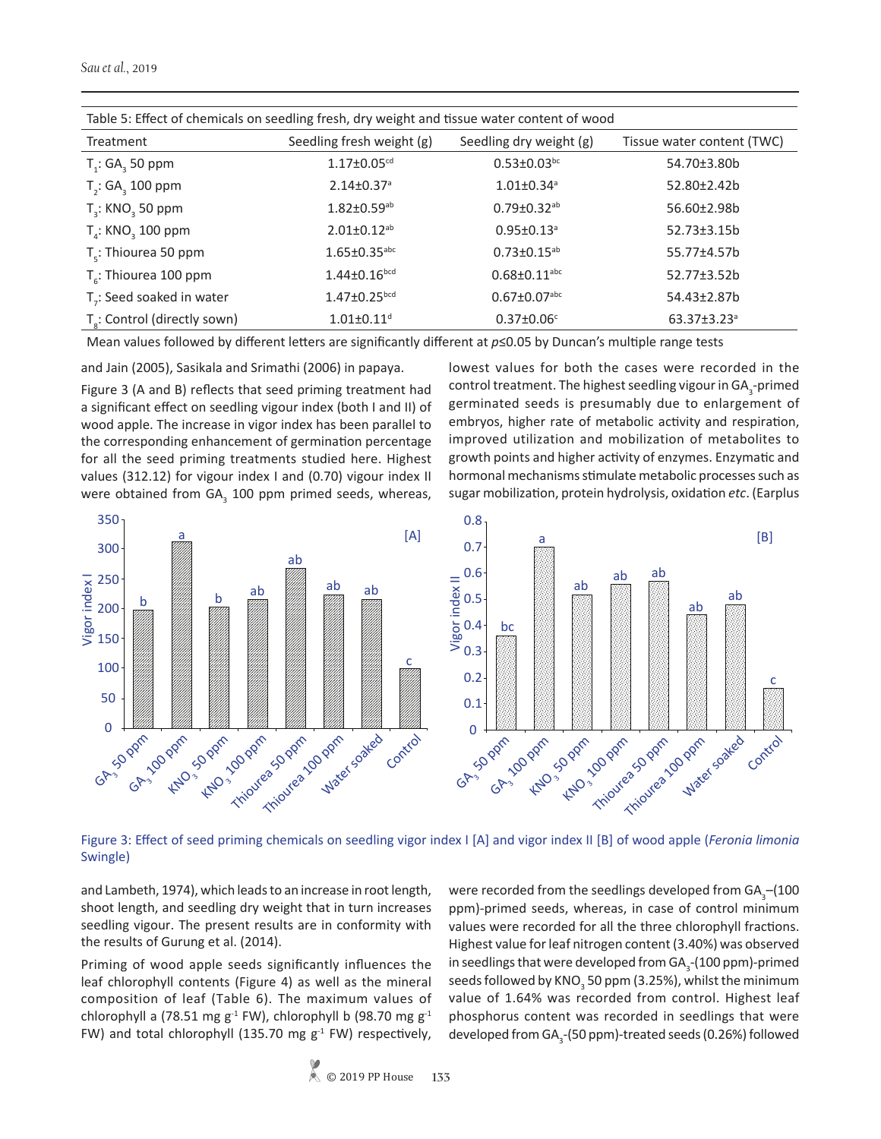| Table 5: Effect of chemicals on seedling fresh, dry weight and tissue water content of wood |                                |                                |                               |  |  |
|---------------------------------------------------------------------------------------------|--------------------------------|--------------------------------|-------------------------------|--|--|
| Treatment                                                                                   | Seedling fresh weight (g)      | Seedling dry weight (g)        | Tissue water content (TWC)    |  |  |
| $T_i$ : GA <sub>3</sub> 50 ppm                                                              | $1.17 \pm 0.05$ <sup>cd</sup>  | $0.53 \pm 0.03$ bc             | 54.70±3.80b                   |  |  |
| T <sub>2</sub> : GA <sub>2</sub> 100 ppm                                                    | $2.14 \pm 0.37$ <sup>a</sup>   | $1.01 \pm 0.34$ <sup>a</sup>   | 52.80±2.42b                   |  |  |
| $T3$ : KNO <sub>3</sub> 50 ppm                                                              | $1.82 \pm 0.59$ <sup>ab</sup>  | $0.79 \pm 0.32$ ab             | 56.60±2.98b                   |  |  |
| $T_{\scriptscriptstyle A}$ : KNO <sub>2</sub> 100 ppm                                       | $2.01 \pm 0.12$ <sup>ab</sup>  | $0.95 \pm 0.13$ <sup>a</sup>   | 52.73±3.15b                   |  |  |
| $T_c$ : Thiourea 50 ppm                                                                     | $1.65 \pm 0.35$ <sup>abc</sup> | $0.73 \pm 0.15^{ab}$           | 55.77±4.57b                   |  |  |
| $T_c$ : Thiourea 100 ppm                                                                    | $1.44 \pm 0.16$ <sub>bcd</sub> | $0.68 \pm 0.11$ <sup>abc</sup> | 52.77±3.52b                   |  |  |
| T <sub>-</sub> : Seed soaked in water                                                       | $1.47 \pm 0.25$ <sub>bcd</sub> | $0.67 \pm 0.07$ <sup>abc</sup> | 54.43±2.87b                   |  |  |
| T <sub>s</sub> : Control (directly sown)                                                    | $1.01 \pm 0.11$ <sup>d</sup>   | $0.37 \pm 0.06$ <sup>c</sup>   | $63.37 \pm 3.23$ <sup>a</sup> |  |  |

Table 5: Effect of chemicals on seedling fresh, dry weight and tissue water content of wood

Mean values followed by different letters are significantly different at *p*≤0.05 by Duncan's multiple range tests

and Jain (2005), Sasikala and Srimathi (2006) in papaya.

Figure 3 (A and B) reflects that seed priming treatment had a significant effect on seedling vigour index (both I and II) of wood apple. The increase in vigor index has been parallel to the corresponding enhancement of germination percentage for all the seed priming treatments studied here. Highest values (312.12) for vigour index I and (0.70) vigour index II were obtained from  $GA_{3}$  100 ppm primed seeds, whereas, lowest values for both the cases were recorded in the control treatment. The highest seedling vigour in GA $_3$ -primed germinated seeds is presumably due to enlargement of embryos, higher rate of metabolic activity and respiration, improved utilization and mobilization of metabolites to growth points and higher activity of enzymes. Enzymatic and hormonal mechanisms stimulate metabolic processes such as sugar mobilization, protein hydrolysis, oxidation *etc*. (Earplus



Figure 3: Effect of seed priming chemicals on seedling vigor index I [A] and vigor index II [B] of wood apple (*Feronia limonia*  Swingle)

and Lambeth, 1974), which leads to an increase in root length, shoot length, and seedling dry weight that in turn increases seedling vigour. The present results are in conformity with the results of Gurung et al. (2014).

Priming of wood apple seeds significantly influences the leaf chlorophyll contents (Figure 4) as well as the mineral composition of leaf (Table 6). The maximum values of chlorophyll a (78.51 mg  $g^{-1}$  FW), chlorophyll b (98.70 mg  $g^{-1}$ FW) and total chlorophyll (135.70 mg  $g<sup>-1</sup>$  FW) respectively,

were recorded from the seedlings developed from GA $_{3}$ –(100 ppm)-primed seeds, whereas, in case of control minimum values were recorded for all the three chlorophyll fractions. Highest value for leaf nitrogen content (3.40%) was observed in seedlings that were developed from GA<sub>3</sub>-(100 ppm)-primed seeds followed by KNO $_{_3}$ 50 ppm (3.25%), whilst the minimum value of 1.64% was recorded from control. Highest leaf phosphorus content was recorded in seedlings that were developed from GA<sub>3</sub>-(50 ppm)-treated seeds (0.26%) followed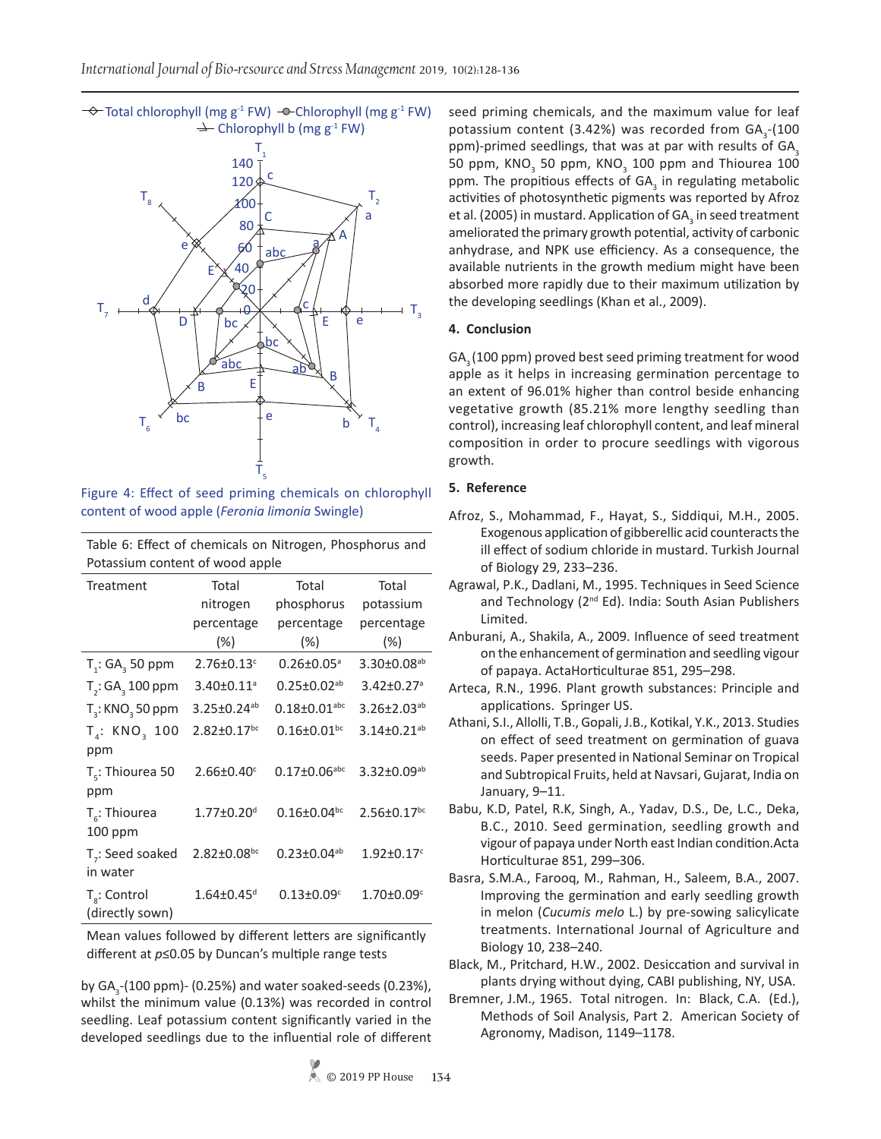$\rightarrow$  Total chlorophyll (mg g<sup>-1</sup> FW)  $\rightarrow$  Chlorophyll (mg g<sup>-1</sup> FW)  $\rightarrow$  Chlorophyll b (mg g<sup>-1</sup> FW)



Figure 4: Effect of seed priming chemicals on chlorophyll content of wood apple (*Feronia limonia* Swingle)

Table 6: Effect of chemicals on Nitrogen, Phosphorus and Potassium content of wood apple

| Treatment                                    | Total                         | Total                          | Total                         |  |
|----------------------------------------------|-------------------------------|--------------------------------|-------------------------------|--|
|                                              | nitrogen                      | phosphorus                     | potassium                     |  |
|                                              | percentage<br>(%)             | percentage<br>$(\%)$           | percentage<br>$(\%)$          |  |
| $T_i$ : GA <sub>3</sub> 50 ppm               | $2.76 \pm 0.13$ <sup>c</sup>  | $0.26 \pm 0.05$ <sup>a</sup>   | $3.30\pm0.08^{ab}$            |  |
| $T2$ : GA $3$ 100 ppm                        | $3.40 \pm 0.11$ <sup>a</sup>  | $0.25 \pm 0.02$ <sup>ab</sup>  | $3.42 \pm 0.27$ <sup>a</sup>  |  |
| $T3$ : KNO <sub>3</sub> 50 ppm               | $3.25 \pm 0.24$ <sup>ab</sup> | $0.18 \pm 0.01$ <sup>abc</sup> | $3.26 \pm 2.03$ <sup>ab</sup> |  |
| T <sub>1</sub> : KNO <sub>2</sub> 100<br>ppm | $2.82 \pm 0.17$ <sup>bc</sup> | $0.16 \pm 0.01$ bc             | $3.14 \pm 0.21$ <sup>ab</sup> |  |
| $T_c$ : Thiourea 50<br>ppm                   | $2.66 \pm 0.40$ <sup>c</sup>  | $0.17 \pm 0.06$ abc            | $3.32 \pm 0.09^{ab}$          |  |
| $T_{\rm s}$ : Thiourea<br>$100$ ppm          | $1.77 \pm 0.20$ <sup>d</sup>  | $0.16 \pm 0.04$ <sub>bc</sub>  | $2.56 \pm 0.17$ <sup>bc</sup> |  |
| T <sub>7</sub> : Seed soaked<br>in water     | $2.82 \pm 0.08$ <sup>bc</sup> | $0.23 \pm 0.04^{ab}$           | $1.92 \pm 0.17$ <sup>c</sup>  |  |
| $T_s$ : Control<br>(directly sown)           | $1.64 \pm 0.45$ <sup>d</sup>  | $0.13 \pm 0.09$ <sup>c</sup>   | $1.70 \pm 0.09^{\circ}$       |  |

Mean values followed by different letters are significantly different at *p*≤0.05 by Duncan's multiple range tests

by GA<sub>3</sub>-(100 ppm)- (0.25%) and water soaked-seeds (0.23%), whilst the minimum value (0.13%) was recorded in control seedling. Leaf potassium content significantly varied in the developed seedlings due to the influential role of different

seed priming chemicals, and the maximum value for leaf potassium content (3.42%) was recorded from  $GA_{3}$ -(100 ppm)-primed seedlings, that was at par with results of  $GA_3$ 50 ppm, KNO<sub>3</sub> 50 ppm, KNO<sub>3</sub> 100 ppm and Thiourea 100 ppm. The propitious effects of  $GA_{3}$  in regulating metabolic activities of photosynthetic pigments was reported by Afroz et al. (2005) in mustard. Application of GA<sub>3</sub> in seed treatment ameliorated the primary growth potential, activity of carbonic anhydrase, and NPK use efficiency. As a consequence, the available nutrients in the growth medium might have been absorbed more rapidly due to their maximum utilization by the developing seedlings (Khan et al., 2009).

## **4. Conclusion**

GA<sub>2</sub> (100 ppm) proved best seed priming treatment for wood apple as it helps in increasing germination percentage to an extent of 96.01% higher than control beside enhancing vegetative growth (85.21% more lengthy seedling than control), increasing leaf chlorophyll content, and leaf mineral composition in order to procure seedlings with vigorous growth.

## **5. Reference**

- Afroz, S., Mohammad, F., Hayat, S., Siddiqui, M.H., 2005. Exogenous application of gibberellic acid counteracts the ill effect of sodium chloride in mustard. Turkish Journal of Biology 29, 233–236.
- Agrawal, P.K., Dadlani, M., 1995. Techniques in Seed Science and Technology (2<sup>nd</sup> Ed). India: South Asian Publishers Limited.
- Anburani, A., Shakila, A., 2009. Influence of seed treatment on the enhancement of germination and seedling vigour of papaya. ActaHorticulturae 851, 295–298.
- Arteca, R.N., 1996. Plant growth substances: Principle and applications. Springer US.
- Athani, S.I., Allolli, T.B., Gopali, J.B., Kotikal, Y.K., 2013. Studies on effect of seed treatment on germination of guava seeds. Paper presented in National Seminar on Tropical and Subtropical Fruits, held at Navsari, Gujarat, India on January, 9–11.
- Babu, K.D, Patel, R.K, Singh, A., Yadav, D.S., De, L.C., Deka, B.C., 2010. Seed germination, seedling growth and vigour of papaya under North east Indian condition.Acta Horticulturae 851, 299–306.
- Basra, S.M.A., Farooq, M., Rahman, H., Saleem, B.A., 2007. Improving the germination and early seedling growth in melon (*Cucumis melo* L.) by pre-sowing salicylicate treatments. International Journal of Agriculture and Biology 10, 238–240.
- Black, M., Pritchard, H.W., 2002. Desiccation and survival in plants drying without dying, CABI publishing, NY, USA.
- Bremner, J.M., 1965. Total nitrogen. In: Black, C.A. (Ed.), Methods of Soil Analysis, Part 2. American Society of Agronomy, Madison, 1149–1178.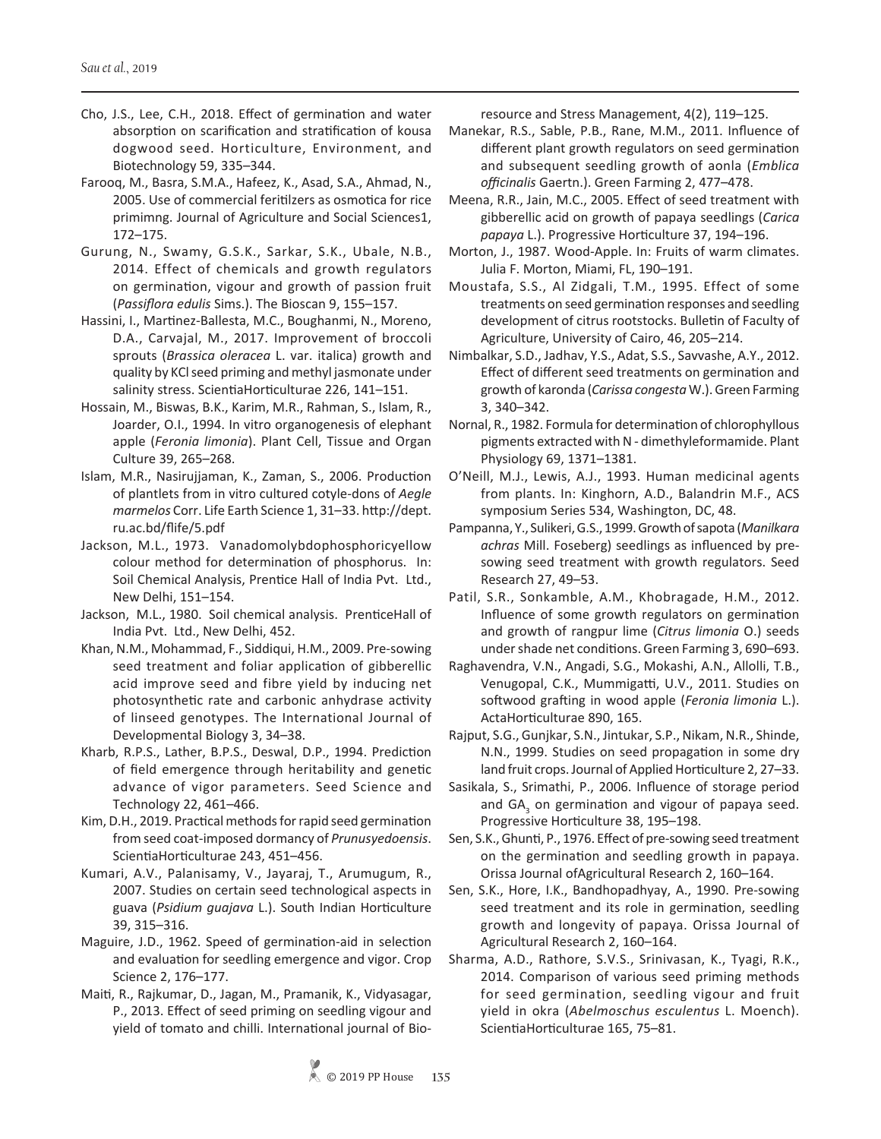- Cho, J.S., Lee, C.H., 2018. Effect of germination and water absorption on scarification and stratification of kousa dogwood seed. Horticulture, Environment, and Biotechnology 59, 335–344.
- Farooq, M., Basra, S.M.A., Hafeez, K., Asad, S.A., Ahmad, N., 2005. Use of commercial feritilzers as osmotica for rice primimng. Journal of Agriculture and Social Sciences1, 172–175.
- Gurung, N., Swamy, G.S.K., Sarkar, S.K., Ubale, N.B., 2014. Effect of chemicals and growth regulators on germination, vigour and growth of passion fruit (*Passiflora edulis* Sims.). The Bioscan 9, 155–157.
- Hassini, I., Martinez-Ballesta, M.C., Boughanmi, N., Moreno, D.A., Carvajal, M., 2017. Improvement of broccoli sprouts (*Brassica oleracea* L. var. italica) growth and quality by KCl seed priming and methyl jasmonate under salinity stress. ScientiaHorticulturae 226, 141–151.
- Hossain, M., Biswas, B.K., Karim, M.R., Rahman, S., Islam, R., Joarder, O.I., 1994. In vitro organogenesis of elephant apple (*Feronia limonia*). Plant Cell, Tissue and Organ Culture 39, 265–268.
- Islam, M.R., Nasirujjaman, K., Zaman, S., 2006. Production of plantlets from in vitro cultured cotyle-dons of *Aegle marmelos* Corr. Life Earth Science 1, 31–33. http://dept. ru.ac.bd/flife/5.pdf
- Jackson, M.L., 1973. Vanadomolybdophosphoricyellow colour method for determination of phosphorus. In: Soil Chemical Analysis, Prentice Hall of India Pvt. Ltd., New Delhi, 151–154.
- Jackson, M.L., 1980. Soil chemical analysis. PrenticeHall of India Pvt. Ltd., New Delhi, 452.
- Khan, N.M., Mohammad, F., Siddiqui, H.M., 2009. Pre-sowing seed treatment and foliar application of gibberellic acid improve seed and fibre yield by inducing net photosynthetic rate and carbonic anhydrase activity of linseed genotypes. The International Journal of Developmental Biology 3, 34–38.
- Kharb, R.P.S., Lather, B.P.S., Deswal, D.P., 1994. Prediction of field emergence through heritability and genetic advance of vigor parameters. Seed Science and Technology 22, 461–466.
- Kim, D.H., 2019. Practical methods for rapid seed germination from seed coat-imposed dormancy of *Prunusyedoensis*. ScientiaHorticulturae 243, 451–456.
- Kumari, A.V., Palanisamy, V., Jayaraj, T., Arumugum, R., 2007. Studies on certain seed technological aspects in guava (*Psidium guajava* L.). South Indian Horticulture 39, 315–316.
- Maguire, J.D., 1962. Speed of germination-aid in selection and evaluation for seedling emergence and vigor. Crop Science 2, 176–177.
- Maiti, R., Rajkumar, D., Jagan, M., Pramanik, K., Vidyasagar, P., 2013. Effect of seed priming on seedling vigour and yield of tomato and chilli. International journal of Bio-

resource and Stress Management, 4(2), 119–125.

- Manekar, R.S., Sable, P.B., Rane, M.M., 2011. Influence of different plant growth regulators on seed germination and subsequent seedling growth of aonla (*Emblica officinalis* Gaertn.). Green Farming 2, 477–478.
- Meena, R.R., Jain, M.C., 2005. Effect of seed treatment with gibberellic acid on growth of papaya seedlings (*Carica papaya* L.). Progressive Horticulture 37, 194–196.
- Morton, J., 1987. Wood-Apple. In: Fruits of warm climates. Julia F. Morton, Miami, FL, 190–191.
- Moustafa, S.S., Al Zidgali, T.M., 1995. Effect of some treatments on seed germination responses and seedling development of citrus rootstocks. Bulletin of Faculty of Agriculture, University of Cairo, 46, 205–214.
- Nimbalkar, S.D., Jadhav, Y.S., Adat, S.S., Savvashe, A.Y., 2012. Effect of different seed treatments on germination and growth of karonda (*Carissa congesta* W.). Green Farming 3, 340–342.
- Nornal, R., 1982. Formula for determination of chlorophyllous pigments extracted with N - dimethyleformamide. Plant Physiology 69, 1371–1381.
- O'Neill, M.J., Lewis, A.J., 1993. Human medicinal agents from plants. In: Kinghorn, A.D., Balandrin M.F., ACS symposium Series 534, Washington, DC, 48.
- Pampanna, Y., Sulikeri, G.S., 1999. Growth of sapota (*Manilkara achras* Mill. Foseberg) seedlings as influenced by presowing seed treatment with growth regulators. Seed Research 27, 49–53.
- Patil, S.R., Sonkamble, A.M., Khobragade, H.M., 2012. Influence of some growth regulators on germination and growth of rangpur lime (*Citrus limonia* O.) seeds under shade net conditions. Green Farming 3, 690–693.
- Raghavendra, V.N., Angadi, S.G., Mokashi, A.N., Allolli, T.B., Venugopal, C.K., Mummigatti, U.V., 2011. Studies on softwood grafting in wood apple (*Feronia limonia* L.). ActaHorticulturae 890, 165.
- Rajput, S.G., Gunjkar, S.N., Jintukar, S.P., Nikam, N.R., Shinde, N.N., 1999. Studies on seed propagation in some dry land fruit crops. Journal of Applied Horticulture 2, 27–33.
- Sasikala, S., Srimathi, P., 2006. Influence of storage period and GA<sub>3</sub> on germination and vigour of papaya seed. Progressive Horticulture 38, 195–198.
- Sen, S.K., Ghunti, P., 1976. Effect of pre-sowing seed treatment on the germination and seedling growth in papaya. Orissa Journal ofAgricultural Research 2, 160–164.
- Sen, S.K., Hore, I.K., Bandhopadhyay, A., 1990. Pre-sowing seed treatment and its role in germination, seedling growth and longevity of papaya. Orissa Journal of Agricultural Research 2, 160–164.
- Sharma, A.D., Rathore, S.V.S., Srinivasan, K., Tyagi, R.K., 2014. Comparison of various seed priming methods for seed germination, seedling vigour and fruit yield in okra (*Abelmoschus esculentus* L. Moench). ScientiaHorticulturae 165, 75–81.